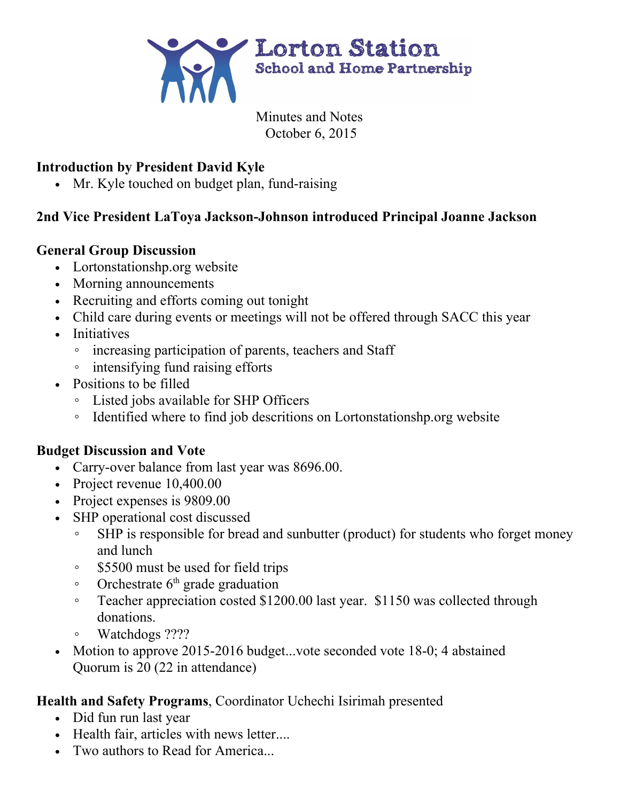

Minutes and Notes October 6, 2015

## **Introduction by President David Kyle**

• Mr. Kyle touched on budget plan, fund-raising

### **2nd Vice President LaToya JacksonJohnson introduced Principal Joanne Jackson**

### **General Group Discussion**

- Lortonstationshp.org website
- Morning announcements
- Recruiting and efforts coming out tonight
- Child care during events or meetings will not be offered through SACC this year
- Initiatives
	- increasing participation of parents, teachers and Staff
	- intensifying fund raising efforts
- Positions to be filled
	- Listed jobs available for SHP Officers
	- Identified where to find job descritions on Lortonstationshp.org website

#### **Budget Discussion and Vote**

- Carry-over balance from last year was 8696.00.
- Project revenue 10,400.00
- Project expenses is 9809.00
- SHP operational cost discussed
	- SHP is responsible for bread and sunbutter (product) for students who forget money and lunch
	- \$5500 must be used for field trips
	- Orchestrate 6 th grade graduation
	- Teacher appreciation costed \$1200.00 last year. \$1150 was collected through donations.
	- Watchdogs ????
- Motion to approve 2015-2016 budget...vote seconded vote  $18-0$ ; 4 abstained Quorum is 20 (22 in attendance)

## **Health and Safety Programs**, Coordinator Uchechi Isirimah presented

- Did fun run last year
- Health fair, articles with news letter....
- Two authors to Read for America...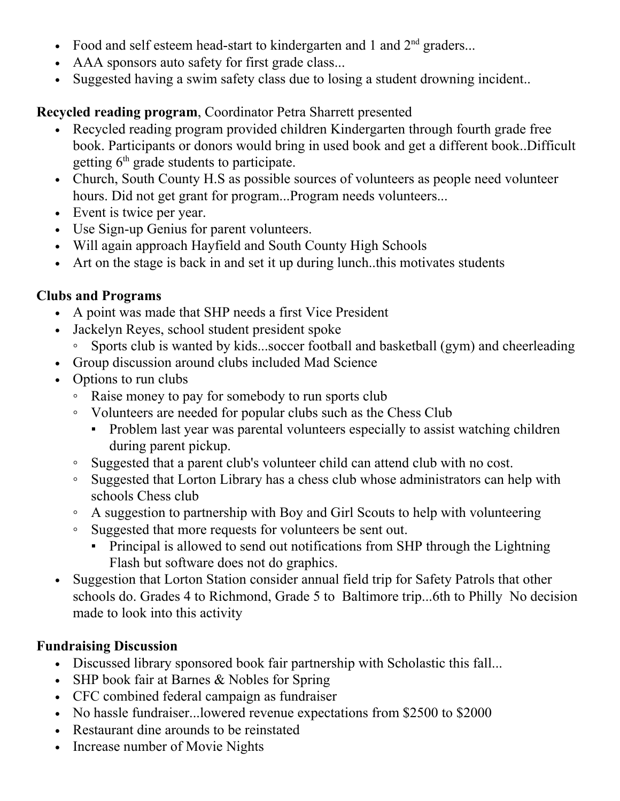- Food and self esteem head-start to kindergarten and 1 and  $2<sup>nd</sup>$  graders...
- AAA sponsors auto safety for first grade class...
- Suggested having a swim safety class due to losing a student drowning incident..

# **Recycled reading program**, Coordinator Petra Sharrett presented

- Recycled reading program provided children Kindergarten through fourth grade free book. Participants or donors would bring in used book and get a different book..Difficult getting 6<sup>th</sup> grade students to participate.
- Church, South County H.S as possible sources of volunteers as people need volunteer hours. Did not get grant for program...Program needs volunteers...
- Event is twice per year.
- Use Sign-up Genius for parent volunteers.
- Will again approach Hayfield and South County High Schools
- Art on the stage is back in and set it up during lunch..this motivates students

# **Clubs and Programs**

- A point was made that SHP needs a first Vice President
- Jackelyn Reyes, school student president spoke
	- Sports club is wanted by kids...soccer football and basketball (gym) and cheerleading
- Group discussion around clubs included Mad Science
- Options to run clubs
	- Raise money to pay for somebody to run sports club
	- Volunteers are needed for popular clubs such as the Chess Club
		- Problem last year was parental volunteers especially to assist watching children during parent pickup.
	- Suggested that a parent club's volunteer child can attend club with no cost.
	- Suggested that Lorton Library has a chess club whose administrators can help with schools Chess club
	- A suggestion to partnership with Boy and Girl Scouts to help with volunteering
	- Suggested that more requests for volunteers be sent out.
		- Principal is allowed to send out notifications from SHP through the Lightning Flash but software does not do graphics.
- Suggestion that Lorton Station consider annual field trip for Safety Patrols that other schools do. Grades 4 to Richmond, Grade 5 to Baltimore trip...6th to Philly No decision made to look into this activity

## **Fundraising Discussion**

- Discussed library sponsored book fair partnership with Scholastic this fall...
- SHP book fair at Barnes & Nobles for Spring
- CFC combined federal campaign as fundraiser
- No hassle fundraiser...lowered revenue expectations from \$2500 to \$2000
- Restaurant dine arounds to be reinstated
- Increase number of Movie Nights